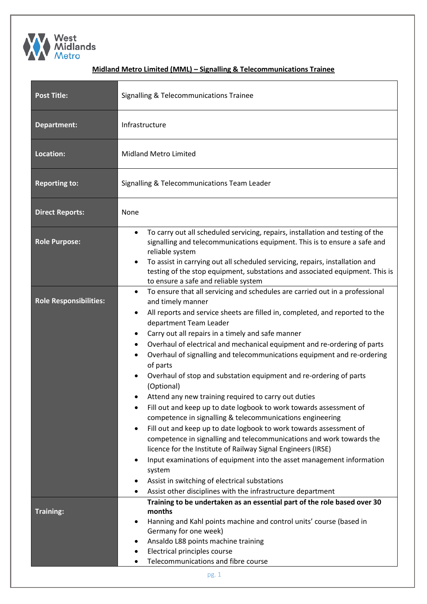

## **Midland Metro Limited (MML) – Signalling & Telecommunications Trainee**

| <b>Post Title:</b>            | <b>Signalling &amp; Telecommunications Trainee</b>                                                                                                                                                                                                                                                                                                                                                                                                                                                                                                                                                                                                                                                                                                                                                                                                                                                                                                                                                                                                                                                                                                                                                                                                 |  |  |  |
|-------------------------------|----------------------------------------------------------------------------------------------------------------------------------------------------------------------------------------------------------------------------------------------------------------------------------------------------------------------------------------------------------------------------------------------------------------------------------------------------------------------------------------------------------------------------------------------------------------------------------------------------------------------------------------------------------------------------------------------------------------------------------------------------------------------------------------------------------------------------------------------------------------------------------------------------------------------------------------------------------------------------------------------------------------------------------------------------------------------------------------------------------------------------------------------------------------------------------------------------------------------------------------------------|--|--|--|
| Department:                   | Infrastructure                                                                                                                                                                                                                                                                                                                                                                                                                                                                                                                                                                                                                                                                                                                                                                                                                                                                                                                                                                                                                                                                                                                                                                                                                                     |  |  |  |
| Location:                     | <b>Midland Metro Limited</b>                                                                                                                                                                                                                                                                                                                                                                                                                                                                                                                                                                                                                                                                                                                                                                                                                                                                                                                                                                                                                                                                                                                                                                                                                       |  |  |  |
| <b>Reporting to:</b>          | Signalling & Telecommunications Team Leader                                                                                                                                                                                                                                                                                                                                                                                                                                                                                                                                                                                                                                                                                                                                                                                                                                                                                                                                                                                                                                                                                                                                                                                                        |  |  |  |
| <b>Direct Reports:</b>        | None                                                                                                                                                                                                                                                                                                                                                                                                                                                                                                                                                                                                                                                                                                                                                                                                                                                                                                                                                                                                                                                                                                                                                                                                                                               |  |  |  |
| <b>Role Purpose:</b>          | To carry out all scheduled servicing, repairs, installation and testing of the<br>$\bullet$<br>signalling and telecommunications equipment. This is to ensure a safe and<br>reliable system<br>To assist in carrying out all scheduled servicing, repairs, installation and<br>$\bullet$<br>testing of the stop equipment, substations and associated equipment. This is<br>to ensure a safe and reliable system                                                                                                                                                                                                                                                                                                                                                                                                                                                                                                                                                                                                                                                                                                                                                                                                                                   |  |  |  |
| <b>Role Responsibilities:</b> | To ensure that all servicing and schedules are carried out in a professional<br>$\bullet$<br>and timely manner<br>All reports and service sheets are filled in, completed, and reported to the<br>$\bullet$<br>department Team Leader<br>Carry out all repairs in a timely and safe manner<br>٠<br>Overhaul of electrical and mechanical equipment and re-ordering of parts<br>$\bullet$<br>Overhaul of signalling and telecommunications equipment and re-ordering<br>$\bullet$<br>of parts<br>Overhaul of stop and substation equipment and re-ordering of parts<br>$\bullet$<br>(Optional)<br>Attend any new training required to carry out duties<br>Fill out and keep up to date logbook to work towards assessment of<br>٠<br>competence in signalling & telecommunications engineering<br>Fill out and keep up to date logbook to work towards assessment of<br>$\bullet$<br>competence in signalling and telecommunications and work towards the<br>licence for the Institute of Railway Signal Engineers (IRSE)<br>Input examinations of equipment into the asset management information<br>$\bullet$<br>system<br>Assist in switching of electrical substations<br>٠<br>Assist other disciplines with the infrastructure department<br>٠ |  |  |  |
| <b>Training:</b>              | Training to be undertaken as an essential part of the role based over 30<br>months<br>Hanning and Kahl points machine and control units' course (based in<br>$\bullet$<br>Germany for one week)<br>Ansaldo L88 points machine training<br>٠<br>Electrical principles course<br>٠<br>Telecommunications and fibre course<br>pg. 1                                                                                                                                                                                                                                                                                                                                                                                                                                                                                                                                                                                                                                                                                                                                                                                                                                                                                                                   |  |  |  |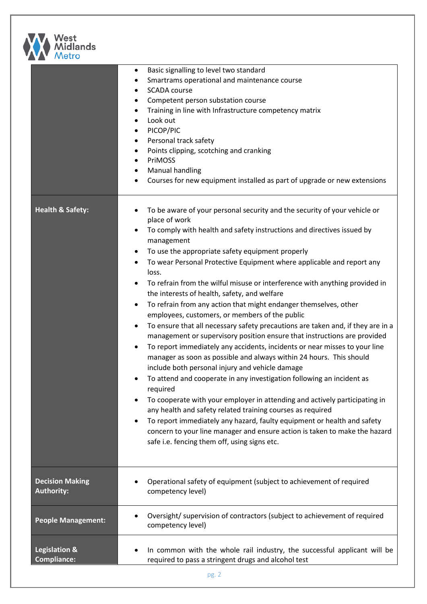

| $IV$ cu v                                   |                                                                                                                                                                                                                                                                                                                                                                                                                                                                                                                                                                                                                                                                                                                                                                                                                                                                                                                                                                                                                                                                                                                                                                                                                                                                                                                                                                                                                                                                     |
|---------------------------------------------|---------------------------------------------------------------------------------------------------------------------------------------------------------------------------------------------------------------------------------------------------------------------------------------------------------------------------------------------------------------------------------------------------------------------------------------------------------------------------------------------------------------------------------------------------------------------------------------------------------------------------------------------------------------------------------------------------------------------------------------------------------------------------------------------------------------------------------------------------------------------------------------------------------------------------------------------------------------------------------------------------------------------------------------------------------------------------------------------------------------------------------------------------------------------------------------------------------------------------------------------------------------------------------------------------------------------------------------------------------------------------------------------------------------------------------------------------------------------|
|                                             | Basic signalling to level two standard<br>$\bullet$<br>Smartrams operational and maintenance course<br>٠<br><b>SCADA</b> course<br>$\bullet$<br>Competent person substation course<br>٠<br>Training in line with Infrastructure competency matrix<br>٠<br>Look out<br>$\bullet$<br>PICOP/PIC<br>٠<br>Personal track safety<br>٠<br>Points clipping, scotching and cranking<br>$\bullet$<br>PriMOSS<br>٠<br><b>Manual handling</b><br>٠<br>Courses for new equipment installed as part of upgrade or new extensions                                                                                                                                                                                                                                                                                                                                                                                                                                                                                                                                                                                                                                                                                                                                                                                                                                                                                                                                                  |
| <b>Health &amp; Safety:</b>                 | To be aware of your personal security and the security of your vehicle or<br>place of work<br>To comply with health and safety instructions and directives issued by<br>$\bullet$<br>management<br>To use the appropriate safety equipment properly<br>٠<br>To wear Personal Protective Equipment where applicable and report any<br>٠<br>loss.<br>To refrain from the wilful misuse or interference with anything provided in<br>٠<br>the interests of health, safety, and welfare<br>To refrain from any action that might endanger themselves, other<br>$\bullet$<br>employees, customers, or members of the public<br>To ensure that all necessary safety precautions are taken and, if they are in a<br>٠<br>management or supervisory position ensure that instructions are provided<br>To report immediately any accidents, incidents or near misses to your line<br>٠<br>manager as soon as possible and always within 24 hours. This should<br>include both personal injury and vehicle damage<br>To attend and cooperate in any investigation following an incident as<br>required<br>To cooperate with your employer in attending and actively participating in<br>٠<br>any health and safety related training courses as required<br>To report immediately any hazard, faulty equipment or health and safety<br>$\bullet$<br>concern to your line manager and ensure action is taken to make the hazard<br>safe i.e. fencing them off, using signs etc. |
| <b>Decision Making</b><br><b>Authority:</b> | Operational safety of equipment (subject to achievement of required<br>competency level)                                                                                                                                                                                                                                                                                                                                                                                                                                                                                                                                                                                                                                                                                                                                                                                                                                                                                                                                                                                                                                                                                                                                                                                                                                                                                                                                                                            |
| <b>People Management:</b>                   | Oversight/ supervision of contractors (subject to achievement of required<br>competency level)                                                                                                                                                                                                                                                                                                                                                                                                                                                                                                                                                                                                                                                                                                                                                                                                                                                                                                                                                                                                                                                                                                                                                                                                                                                                                                                                                                      |
| Legislation &<br><b>Compliance:</b>         | In common with the whole rail industry, the successful applicant will be<br>required to pass a stringent drugs and alcohol test                                                                                                                                                                                                                                                                                                                                                                                                                                                                                                                                                                                                                                                                                                                                                                                                                                                                                                                                                                                                                                                                                                                                                                                                                                                                                                                                     |